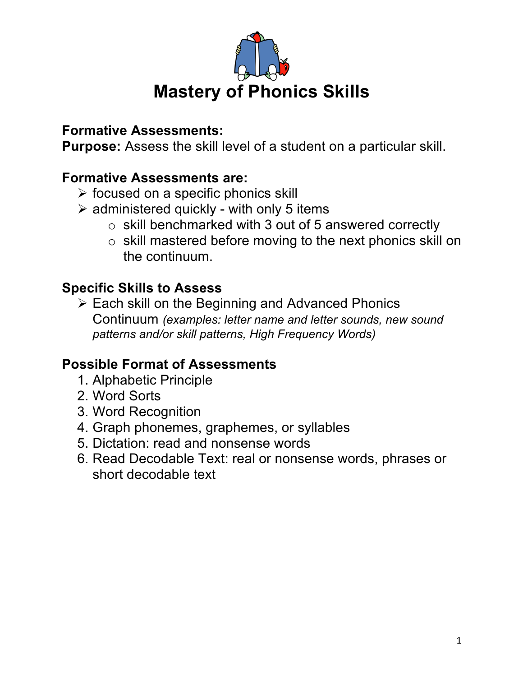

# **Formative Assessments:**

**Purpose:** Assess the skill level of a student on a particular skill.

# **Formative Assessments are:**

- $\triangleright$  focused on a specific phonics skill
- $\triangleright$  administered quickly with only 5 items
	- o skill benchmarked with 3 out of 5 answered correctly
	- o skill mastered before moving to the next phonics skill on the continuum.

# **Specific Skills to Assess**

 $\triangleright$  Each skill on the Beginning and Advanced Phonics Continuum *(examples: letter name and letter sounds, new sound patterns and/or skill patterns, High Frequency Words)*

## **Possible Format of Assessments**

- 1. Alphabetic Principle
- 2. Word Sorts
- 3. Word Recognition
- 4. Graph phonemes, graphemes, or syllables
- 5. Dictation: read and nonsense words
- 6. Read Decodable Text: real or nonsense words, phrases or short decodable text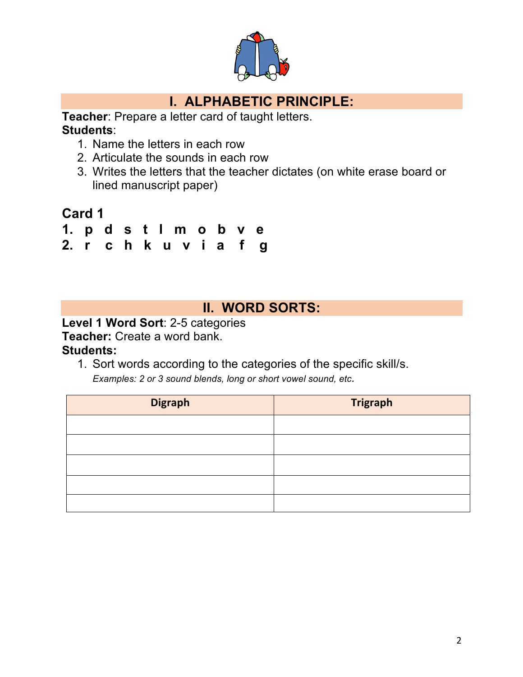

# **I. ALPHABETIC PRINCIPLE:**

**Teacher**: Prepare a letter card of taught letters. **Students**:

- 1. Name the letters in each row
- 2. Articulate the sounds in each row
- 3. Writes the letters that the teacher dictates (on white erase board or lined manuscript paper)

## **Card 1**

- **1. p d s t l m o b v e**
- **2. r c h k u v i a f g**

### **II. WORD SORTS:**

**Level 1 Word Sort**: 2-5 categories

**Teacher:** Create a word bank.

#### **Students:**

1. Sort words according to the categories of the specific skill/s.

*Examples: 2 or 3 sound blends, long or short vowel sound, etc.*

| <b>Digraph</b> | <b>Trigraph</b> |
|----------------|-----------------|
|                |                 |
|                |                 |
|                |                 |
|                |                 |
|                |                 |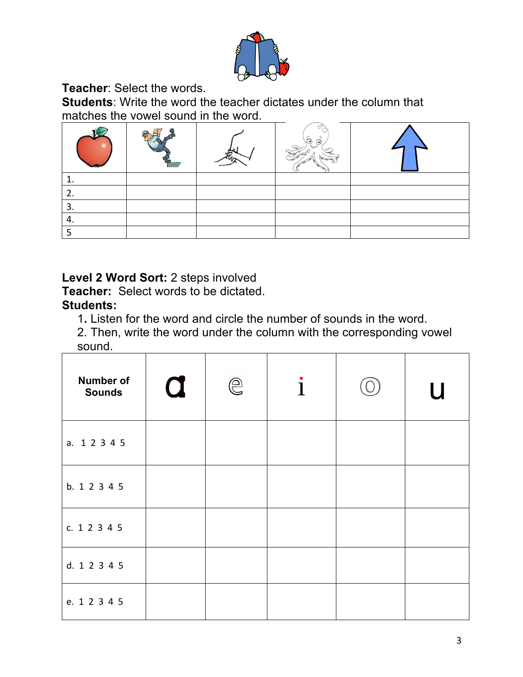

**Teacher**: Select the words.

**Students**: Write the word the teacher dictates under the column that matches the vowel sound in the word.

|     |  | ಾ<br>ತ |  |
|-----|--|--------|--|
|     |  |        |  |
| ـ ـ |  |        |  |
|     |  |        |  |
| 4.  |  |        |  |
|     |  |        |  |

**Level 2 Word Sort:** 2 steps involved

**Teacher:** Select words to be dictated. **Students:** 

1**.** Listen for the word and circle the number of sounds in the word.

2. Then, write the word under the column with the corresponding vowel sound.

| Number of<br><b>Sounds</b> | $\mathbf 0$ | $\bigcirclede$ | $\mathbf{i}$ | $\overline{u}$ |
|----------------------------|-------------|----------------|--------------|----------------|
| a. 1 2 3 4 5               |             |                |              |                |
| b. 1 2 3 4 5               |             |                |              |                |
| c. 1 2 3 4 5               |             |                |              |                |
| d. 1 2 3 4 5               |             |                |              |                |
| e. 1 2 3 4 5               |             |                |              |                |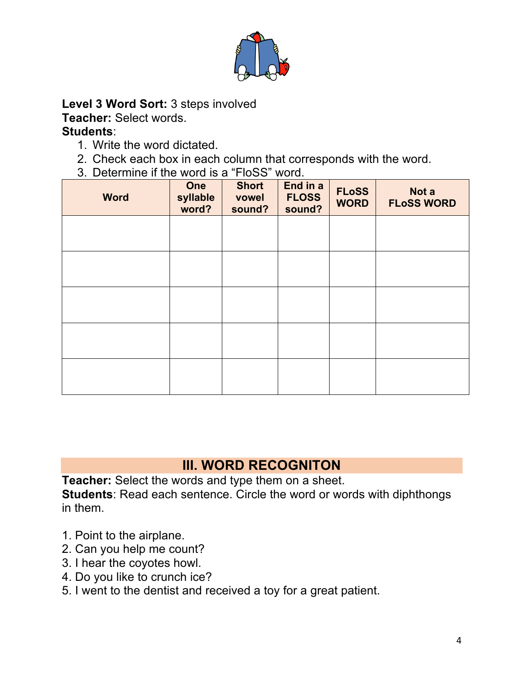

**Level 3 Word Sort:** 3 steps involved

**Teacher:** Select words.

### **Students**:

- 1. Write the word dictated.
- 2. Check each box in each column that corresponds with the word.
- 3. Determine if the word is a "FloSS" word.

| <b>Word</b> | One<br>syllable<br>word? | <b>Short</b><br>vowel<br>sound? | End in a<br><b>FLOSS</b><br>sound? | <b>FLoSS</b><br><b>WORD</b> | Not a<br><b>FLoSS WORD</b> |
|-------------|--------------------------|---------------------------------|------------------------------------|-----------------------------|----------------------------|
|             |                          |                                 |                                    |                             |                            |
|             |                          |                                 |                                    |                             |                            |
|             |                          |                                 |                                    |                             |                            |
|             |                          |                                 |                                    |                             |                            |
|             |                          |                                 |                                    |                             |                            |

# **III. WORD RECOGNITON**

**Teacher:** Select the words and type them on a sheet. **Students**: Read each sentence. Circle the word or words with diphthongs in them.

- 1. Point to the airplane.
- 2. Can you help me count?
- 3. I hear the coyotes howl.
- 4. Do you like to crunch ice?
- 5. I went to the dentist and received a toy for a great patient.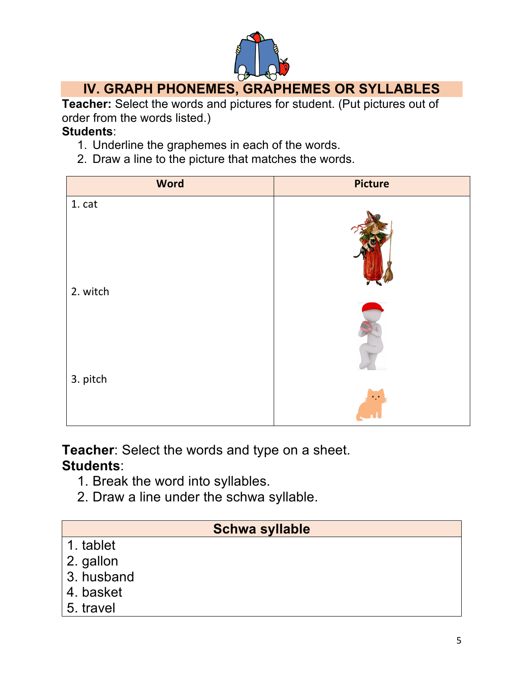

# **IV. GRAPH PHONEMES, GRAPHEMES OR SYLLABLES**

**Teacher:** Select the words and pictures for student. (Put pictures out of order from the words listed.)

#### **Students**:

- 1. Underline the graphemes in each of the words.
- 2. Draw a line to the picture that matches the words.

| <b>Word</b> | <b>Picture</b> |
|-------------|----------------|
| 1. cat      |                |
| 2. witch    |                |
| 3. pitch    |                |

**Teacher**: Select the words and type on a sheet. **Students**:

- 1. Break the word into syllables.
- 2. Draw a line under the schwa syllable.

### **Schwa syllable**

- 1. tablet
- 2. gallon
- 3. husband
- 4. basket
- 5. travel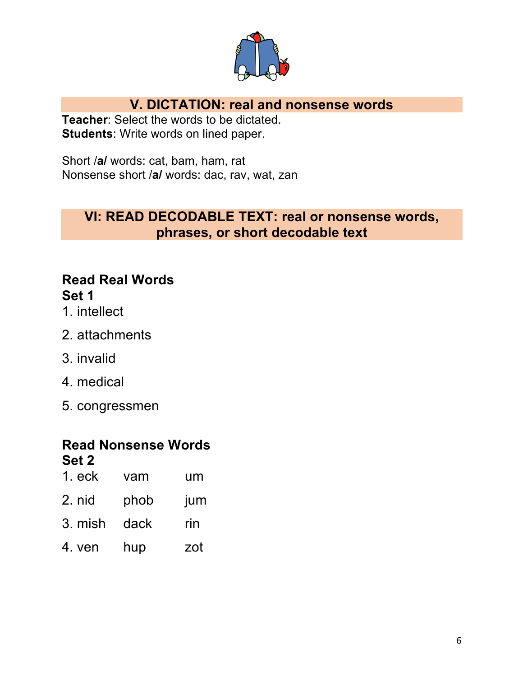

## **V. DICTATION: real and nonsense words**

**Teacher**: Select the words to be dictated. **Students**: Write words on lined paper.

Short /**a/** words: cat, bam, ham, rat Nonsense short /**a/** words: dac, rav, wat, zan

### **VI: READ DECODABLE TEXT: real or nonsense words, phrases, or short decodable text**

## **Read Real Words Set 1**

- 1. intellect
- 2. attachments
- 3. invalid
- 4. medical
- 5. congressmen

### **Read Nonsense Words Set 2**

| $1.$ eck | vam  | um  |
|----------|------|-----|
| 2. nid   | phob | jum |
| 3. mish  | dack | rin |
| 4. ven   | hup  | zot |